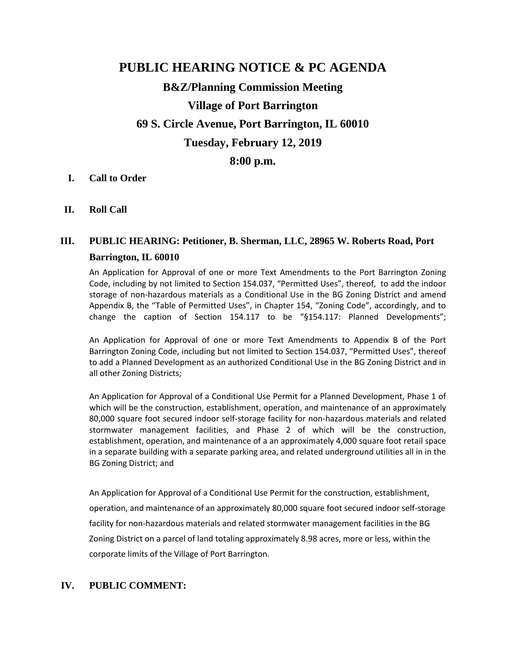## **PUBLIC HEARING NOTICE & PC AGENDA**

# **B&Z/Planning Commission Meeting Village of Port Barrington 69 S. Circle Avenue, Port Barrington, IL 60010 Tuesday, February 12, 2019**

## **8:00 p.m.**

#### **I. Call to Order**

**II. Roll Call**

## **III. PUBLIC HEARING: Petitioner, B. Sherman, LLC, 28965 W. Roberts Road, Port Barrington, IL 60010**

An Application for Approval of one or more Text Amendments to the Port Barrington Zoning Code, including by not limited to Section 154.037, "Permitted Uses", thereof, to add the indoor storage of non-hazardous materials as a Conditional Use in the BG Zoning District and amend Appendix B, the "Table of Permitted Uses", in Chapter 154, "Zoning Code", accordingly, and to change the caption of Section 154.117 to be "§154.117: Planned Developments";

An Application for Approval of one or more Text Amendments to Appendix B of the Port Barrington Zoning Code, including but not limited to Section 154.037, "Permitted Uses", thereof to add a Planned Development as an authorized Conditional Use in the BG Zoning District and in all other Zoning Districts;

An Application for Approval of a Conditional Use Permit for a Planned Development, Phase 1 of which will be the construction, establishment, operation, and maintenance of an approximately 80,000 square foot secured indoor self-storage facility for non-hazardous materials and related stormwater management facilities, and Phase 2 of which will be the construction, establishment, operation, and maintenance of a an approximately 4,000 square foot retail space in a separate building with a separate parking area, and related underground utilities all in in the BG Zoning District; and

An Application for Approval of a Conditional Use Permit for the construction, establishment, operation, and maintenance of an approximately 80,000 square foot secured indoor self-storage facility for non-hazardous materials and related stormwater management facilities in the BG Zoning District on a parcel of land totaling approximately 8.98 acres, more or less, within the corporate limits of the Village of Port Barrington.

#### **IV. PUBLIC COMMENT:**